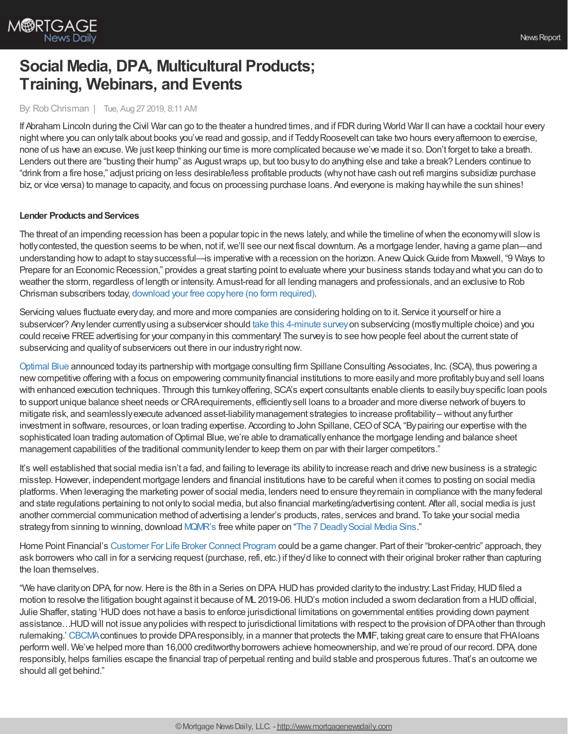

# **Social Media, DPA, Multicultural Products; Training, Webinars, and Events**

## By:Rob Chrisman | Tue, Aug 27 2019, 8:11 AM

If Abraham Lincoln during the Civil War can go to the theater a hundred times, and if FDR during World War II can have a cocktail hour every nightwhere you can onlytalk about books you've read and gossip, and if TeddyRoosevelt can take two hours everyafternoon to exercise, none of us have an excuse. We just keep thinking our time is more complicated because we've made it so.Don't forget to take a breath. Lenders out there are "busting their hump" as Augustwraps up, but too busyto do anything else and take a break? Lenders continue to "drink from a fire hose," adjust pricing on less desirable/less profitable products (whynot have cash out refi margins subsidize purchase biz, or vice versa) to manage to capacity, and focus on processing purchase loans. And everyone is making haywhile the sun shines!

## **Lender Products and Services**

The threat of an impending recession has been a popular topic in the news lately, and while the timeline ofwhen the economywill slowis hotly contested, the question seems to be when, not if, we'll see our next fiscal downturn. As a mortgage lender, having a game plan—and understanding howto adapt to staysuccessful—is imperative with a recession on the horizon. AnewQuickGuide from Maxwell, "9 Ways to Prepare for an Economic Recession," provides a great starting point to evaluate where your business stands today and what you can do to weather the storm, regardless of length or intensity. Amust-read for all lending managers and professionals, and an exclusive to Rob Chrisman subscribers today, [download](https://demo.himaxwell.com/9-ways-to-prepare-for-an-economic-recession) your free copyhere (no form required).

Servicing values fluctuate every day, and more and more companies are considering holding on to it. Service it yourself or hire a subservicer? Any lender currently using a subservicer should take this [4-minute](https://theinsightscout.az1.qualtrics.com/jfe/form/SV_5cJWsyEMxX0cbd3) survey on subservicing (mostly multiple choice) and you could receive FREE advertising for your company in this commentary! The survey is to see how people feel about the current state of subservicing and quality of subservicers out there in our industry right now.

[Optimal](http://www.optimalblue.com/) Blue announced todayits partnership with mortgage consulting firm Spillane Consulting Associates, Inc. (SCA), thus powering a new competitive offering with a focus on empowering community financial institutions to more easily and more profitably buy and sell loans with enhanced execution techniques. Through this turnkeyoffering, SCA's expert consultants enable clients to easilybuyspecific loan pools to support unique balance sheet needs or CRArequirements, efficientlysell loans to a broader and more diverse network of buyers to mitigate risk, and seamlesslyexecute advanced asset-liabilitymanagement strategies to increase profitability– without anyfurther investment in software, resources, or loan trading expertise. According to John Spillane,CEOof SCA, "Bypairing our expertise with the sophisticated loan trading automation of Optimal Blue, we're able to dramatically enhance the mortgage lending and balance sheet management capabilities of the traditional communitylender to keep them on par with their larger competitors."

It's well established that social media isn't a fad, and failing to leverage its ability to increase reach and drive new business is a strategic misstep.However, independent mortgage lenders and financial institutions have to be careful when it comes to posting on social media platforms. When leveraging the marketing power of social media, lenders need to ensure theyremain in compliance with the manyfederal and state regulations pertaining to not onlyto social media, but also financial marketing/advertising content. After all, social media is just another commercial communication method of advertising a lender's products, rates, services and brand. To take your social media strategy from sinning to winning, download [MQMR's](http://www.mqmresearch.com/) free white paper on "The 7 Deadly Social Media Sins."

Home Point Financial's [Customer](https://www.facebook.com/hpfwecare/photos/a.475995189867218/476556819811055/?type=3&theater) For Life Broker Connect Program could be a game changer. Part of their "broker-centric" approach, they ask borrowers who call in for a servicing request (purchase, refi, etc.) if they'd like to connectwith their original broker rather than capturing the loan themselves.

"We have clarity on DPA, for now. Here is the 8th in a Series on DPA. HUD has provided clarity to the industry: Last Friday, HUD filed a motion to resolve the litigation bought against it because of ML 2019-06.HUD's motion included a sworn declaration from a HUDofficial, Julie Shaffer, stating 'HUD does not have a basis to enforce jurisdictional limitations on governmental entities providing down payment assistance…HUDwill not issue anypolicies with respect to jurisdictional limitations with respect to the provision ofDPAother than through rulemaking.' [CBCMA](http://chenoafund.org/)continues to provide DPAresponsibly, in a manner that protects the MMIF, taking great care to ensure that FHAloans perform well. We've helped more than 16,000 creditworthy borrowers achieve homeownership, and we're proud of our record. DPA, done responsibly, helps families escape the financial trap of perpetual renting and build stable and prosperous futures. That's an outcome we should all get behind."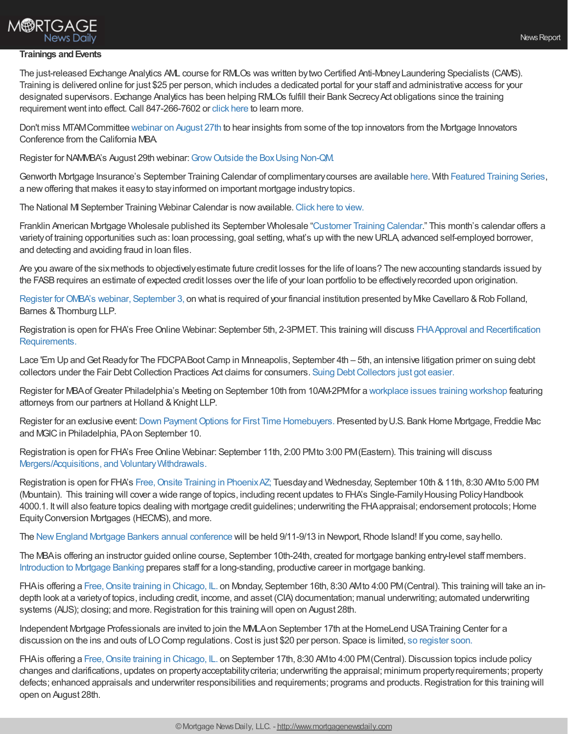

## **M®RTGAGE** News Daily

### **Trainings andEvents**

The just-released Exchange Analytics AML course for RMLOs was written bytwo Certified Anti-MoneyLaundering Specialists (CAMS). Training is delivered online for just \$25 per person, which includes a dedicated portal for your staff and administrative access for your designated supervisors. Exchange Analytics has been helping RMLOs fulfill their Bank Secrecy Act obligations since the training requirement went into effect. Call 847-266-7602 or click [here](http://unbouncepages.com/2019aml-rmlo/) to learn more.

Don't miss MTAMCommittee [webinar](https://register.gotowebinar.com/register/6268511903688129805) on August 27th to hear insights from some of the top innovators from the Mortgage Innovators Conference from the California MBA.

Register for NAMMBA's August 29th webinar: Grow Outside the Box Using Non-QM.

Genworth Mortgage Insurance's September Training Calendar of complimentarycourses are available [here](https://new.mi.genworth.com/training-calendar?view=events&ym=201909&utm_medium=referral&utm_source=crisman&utm_campaign=SeptWebinar&utm_content=Register). With [Featured](https://new.mi.genworth.com/course-catalog?utm_medium=referral&utm_source=crisman&utm_campaign=SeptWebinar&utm_content=FeaturedSeries) Training Series, a newoffering that makes it easyto stayinformed on important mortgage industrytopics.

The National MI September Training Webinar Calendar is nowavailable.[Click](https://www.nationalmi.com/miu/) here to view.

Franklin American Mortgage Wholesale published its September Wholesale "[Customer](https://wholesalestorefront.franklinamerican.com/calendar/) Training Calendar." This month's calendar offers a variety of training opportunities such as: loan processing, goal setting, what's up with the new URLA, advanced self-employed borrower, and detecting and avoiding fraud in loan files.

Are you aware of the sixmethods to objectivelyestimate future credit losses for the life of loans? The newaccounting standards issued by the FASBrequires an estimate of expected credit losses over the life of your loan portfolio to be effectivelyrecorded upon origination.

Register for OMBA's webinar, [September](http://www.ohiomba.org/index.php/are-you-ready-for-cecl-webinar-august-6-2019/) 3, on what is required of your financial institution presented by Mike Cavellaro & Rob Folland, Barnes & Thornburg LLP.

Registration is open for FHA's Free Online Webinar: September 5th, 2-3PMET. This training will discuss FHA Approval and Recertification [Requirements.](https://www.webcaster4.com/Webcast/Page/753/31468)

Lace 'Em Up and Get Ready for The FDCPA Boot Camp in Minneapolis, September 4th - 5th, an intensive litigation primer on suing debt collectors under the Fair Debt Collection Practices Act claims for consumers. Suing Debt Collectors just got easier.

Register for MBAofGreater Philadelphia's Meeting on September 10th from 10AM-2PMfor a [workplace](https://mbagp.org/meet-reg1.php?mi=196283&id=24) issues training workshop featuring attorneys from our partners at Holland & Knight LLP.

Register for an exclusive event: Down Payment Options for First Time Homebuyers. Presented by U.S. Bank Home Mortgage, Freddie Mac and MGIC in Philadelphia, PA on September 10.

Registration is open for FHA's Free Online Webinar: September 11th, 2:00 PM to 3:00 PM (Eastern). This training will discuss Mergers/Acquisitions, and Voluntary Withdrawals.

Registration is open for FHA's Free, Onsite Training in Phoenix AZ; Tuesday and Wednesday, September 10th & 11th, 8:30 AMto 5:00 PM (Mountain). This training will cover a wide range of topics, including recent updates to FHA's Single-Family Housing Policy Handbook 4000.1. Itwill also feature topics dealing with mortgage credit guidelines; underwriting the FHAappraisal; endorsement protocols;Home EquityConversion Mortgages (HECMS), and more.

The New England Mortgage Bankers annual conference will be held 9/11-9/13 in Newport, Rhode Island! If you come, say hello.

The MBAis offering an instructor guided online course, September 10th-24th, created for mortgage banking entry-level staff members. [Introduction](http://mba.informz.net/z/cjUucD9taT03NTcxMDA0JnA9MSZ1PTc3Njc5OTgwOSZsaT01OTcwNjk2NQ/index.html) to Mortgage Banking prepares staff for a long-standing, productive career in mortgage banking.

FHAis offering a Free, Onsite training in Chicago, IL. on Monday, September 16th, 8:30 AMto 4:00 PM (Central). This training will take an indepth look at a varietyof topics, including credit, income, and asset (CIA) documentation; manual underwriting; automated underwriting systems (AUS); closing; and more. Registration for this training will open on August 28th.

Independent Mortgage Professionals are invited to join the MMLAon September 17th at the HomeLend USATraining Center for a discussion on the ins and outs of LOComp regulations.Cost is just \$20 per person. Space is limited, so [register](https://mmla.net/meet-reg1.php?mi=1007325&id=174) soon.

FHA is offering a Free, Onsite training in Chicago, IL. on September 17th, 8:30 AMto 4:00 PM (Central). Discussion topics include policy changes and clarifications, updates on propertyacceptabilitycriteria; underwriting the appraisal; minimum propertyrequirements; property defects; enhanced appraisals and underwriter responsibilities and requirements; programs and products. Registration for this training will open on August 28th.